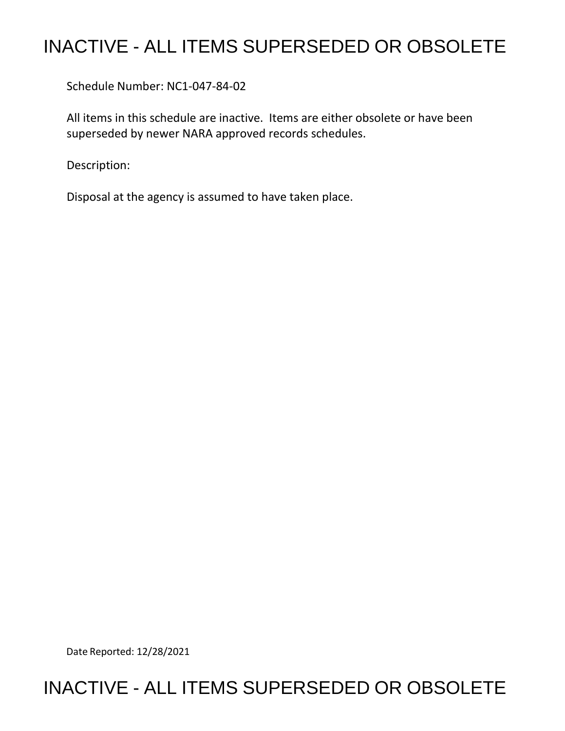## INACTIVE - ALL ITEMS SUPERSEDED OR OBSOLETE

Schedule Number: NC1-047-84-02

All items in this schedule are inactive. Items are either obsolete or have been superseded by newer NARA approved records schedules.

Description:

Disposal at the agency is assumed to have taken place.

Date Reported: 12/28/2021

## INACTIVE - ALL ITEMS SUPERSEDED OR OBSOLETE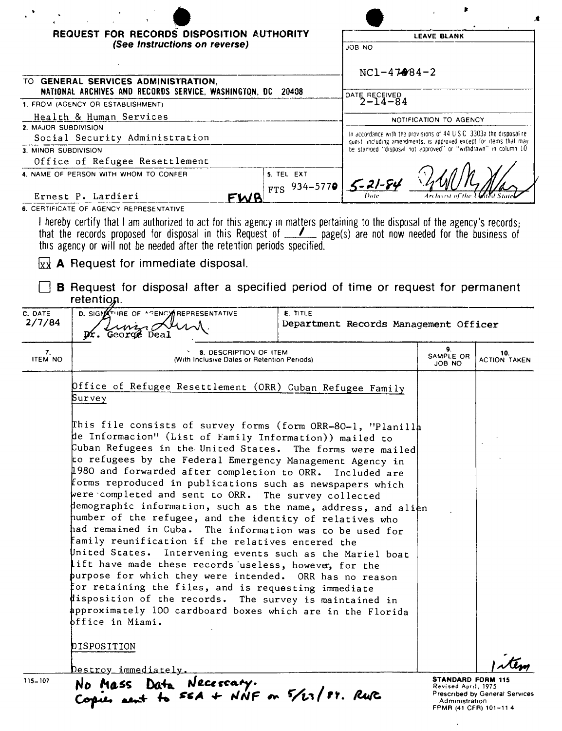|                                                                                                  | REQUEST FOR RECORDS DISPOSITION AUTHORITY                                                                                                                                                                                                                                                                                                                                                                                                                                                                                                                                                                                                                                                                                                                                                                                                                                                                                                                                                                                                                                                                                                                               |                              |                                                                                                                                     | <b>LEAVE BLANK</b>         |  |
|--------------------------------------------------------------------------------------------------|-------------------------------------------------------------------------------------------------------------------------------------------------------------------------------------------------------------------------------------------------------------------------------------------------------------------------------------------------------------------------------------------------------------------------------------------------------------------------------------------------------------------------------------------------------------------------------------------------------------------------------------------------------------------------------------------------------------------------------------------------------------------------------------------------------------------------------------------------------------------------------------------------------------------------------------------------------------------------------------------------------------------------------------------------------------------------------------------------------------------------------------------------------------------------|------------------------------|-------------------------------------------------------------------------------------------------------------------------------------|----------------------------|--|
|                                                                                                  | (See Instructions on reverse)                                                                                                                                                                                                                                                                                                                                                                                                                                                                                                                                                                                                                                                                                                                                                                                                                                                                                                                                                                                                                                                                                                                                           |                              | ON FIOL                                                                                                                             |                            |  |
|                                                                                                  |                                                                                                                                                                                                                                                                                                                                                                                                                                                                                                                                                                                                                                                                                                                                                                                                                                                                                                                                                                                                                                                                                                                                                                         |                              | $NC1 - 47984 - 2$                                                                                                                   |                            |  |
|                                                                                                  | TO GENERAL SERVICES ADMINISTRATION,                                                                                                                                                                                                                                                                                                                                                                                                                                                                                                                                                                                                                                                                                                                                                                                                                                                                                                                                                                                                                                                                                                                                     |                              |                                                                                                                                     |                            |  |
| NATIONAL ARCHIVES AND RECORDS SERVICE, WASHINGTON, DC 20408<br>1. FROM (AGENCY OR ESTABLISHMENT) |                                                                                                                                                                                                                                                                                                                                                                                                                                                                                                                                                                                                                                                                                                                                                                                                                                                                                                                                                                                                                                                                                                                                                                         |                              | DATE RECEIVED<br>2-14-84                                                                                                            |                            |  |
| Health & Human Services                                                                          |                                                                                                                                                                                                                                                                                                                                                                                                                                                                                                                                                                                                                                                                                                                                                                                                                                                                                                                                                                                                                                                                                                                                                                         |                              | NOTIFICATION TO AGENCY                                                                                                              |                            |  |
| 2. MAJOR SUBDIVISION<br>Social Security Administration                                           |                                                                                                                                                                                                                                                                                                                                                                                                                                                                                                                                                                                                                                                                                                                                                                                                                                                                                                                                                                                                                                                                                                                                                                         |                              | In accordance with the provisions of 44 U.S.C. 3303a the disposal re-                                                               |                            |  |
| 3. MINOR SUBDIVISION                                                                             |                                                                                                                                                                                                                                                                                                                                                                                                                                                                                                                                                                                                                                                                                                                                                                                                                                                                                                                                                                                                                                                                                                                                                                         |                              | quest including amendments, is approved except for items that may<br>be stamped "disposal not approved" or "withdrawn" in column 10 |                            |  |
|                                                                                                  | Office of Refugee Resettlement                                                                                                                                                                                                                                                                                                                                                                                                                                                                                                                                                                                                                                                                                                                                                                                                                                                                                                                                                                                                                                                                                                                                          |                              |                                                                                                                                     |                            |  |
|                                                                                                  | 4. NAME OF PERSON WITH WHOM TO CONFER                                                                                                                                                                                                                                                                                                                                                                                                                                                                                                                                                                                                                                                                                                                                                                                                                                                                                                                                                                                                                                                                                                                                   | 5. TEL EXT<br>$FTS$ 934-5770 | $5 - 21 - 84$                                                                                                                       |                            |  |
|                                                                                                  | Ernest P. Lardieri<br>FWA                                                                                                                                                                                                                                                                                                                                                                                                                                                                                                                                                                                                                                                                                                                                                                                                                                                                                                                                                                                                                                                                                                                                               |                              |                                                                                                                                     |                            |  |
|                                                                                                  | 6. CERTIFICATE OF AGENCY REPRESENTATIVE<br>I hereby certify that I am authorized to act for this agency in matters pertaining to the disposal of the agency's records;                                                                                                                                                                                                                                                                                                                                                                                                                                                                                                                                                                                                                                                                                                                                                                                                                                                                                                                                                                                                  |                              |                                                                                                                                     |                            |  |
|                                                                                                  | that the records proposed for disposal in this Request of <u>1</u> page(s) are not now needed for the business of<br>this agency or will not be needed after the retention periods specified.<br>$\{x\}$ A Request for immediate disposal.<br><b>B</b> Request for disposal after a specified period of time or request for permanent                                                                                                                                                                                                                                                                                                                                                                                                                                                                                                                                                                                                                                                                                                                                                                                                                                   |                              |                                                                                                                                     |                            |  |
| retention.<br>D. SIGNATURE OF A GENCY REPRESENTATIVE<br>C. DATE<br><b>E. TITLE</b>               |                                                                                                                                                                                                                                                                                                                                                                                                                                                                                                                                                                                                                                                                                                                                                                                                                                                                                                                                                                                                                                                                                                                                                                         |                              |                                                                                                                                     |                            |  |
| 2/7/84                                                                                           | George                                                                                                                                                                                                                                                                                                                                                                                                                                                                                                                                                                                                                                                                                                                                                                                                                                                                                                                                                                                                                                                                                                                                                                  |                              | Department Records Management Officer                                                                                               |                            |  |
| 7.<br><b>ITEM NO</b>                                                                             | <b>8. DESCRIPTION OF ITEM</b><br>(With Inclusive Dates or Retention Periods)                                                                                                                                                                                                                                                                                                                                                                                                                                                                                                                                                                                                                                                                                                                                                                                                                                                                                                                                                                                                                                                                                            |                              | 9.<br>SAMPLE OR<br>JOB NO                                                                                                           | 10.<br><b>ACTION TAKEN</b> |  |
|                                                                                                  | Dffice of Refugee Resettlement (ORR) Cuban Refugee Family<br>Survey                                                                                                                                                                                                                                                                                                                                                                                                                                                                                                                                                                                                                                                                                                                                                                                                                                                                                                                                                                                                                                                                                                     |                              |                                                                                                                                     |                            |  |
|                                                                                                  | This file consists of survey forms (form ORR-80-1, "Planilla<br>de Informacion" (List of Family Information)) mailed to<br>Cuban Refugees in the United States. The forms were mailed<br>to refugees by the Federal Emergency Management Agency in<br>$\updownarrow$ 980 and forwarded after completion to ORR. Included are<br>forms reproduced in publications such as newspapers which<br>were completed and sent to ORR. The survey collected<br>$\,\!\not{\!\!{\rm \mu}}$ emographic information, such as the name, address, and ali $\rm_e$ n<br>humber of the refugee, and the identity of relatives who<br>had remained in Cuba. The information was to be used for<br>family reunification if the relatives entered the<br>United States.<br>Intervening events such as the Mariel boat<br>lift have made these records useless, however, for the<br>$\,$ purpose for which they were intended. ORR has no reason<br>$\overline{\mathfrak{f}}$ or retaining the files, and is requesting immediate<br>disposition of the records. The survey is maintained in<br>approximately 100 cardboard boxes which are in the Florida<br>bffice in Miami.<br>DISPOSITION |                              |                                                                                                                                     |                            |  |

Prescribed by General Services<br>Administration<br>FPMR (41 CFR) 101-11 4

 $\sim$